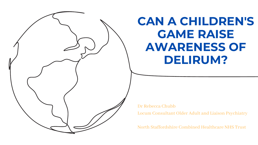### **CAN A CHILDREN'S GAME RAISE AWARENESS OF DELIRUM?**



Locum Consultant Older Adult and Liaison Psychiatry

North Staffordshire Combined Healthcare NHS Trust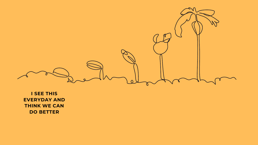

**I SEE THIS EVERYDAY AND THINK WE CAN DO BETTER**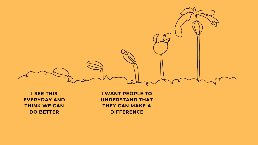

**I SEE THIS EVERYDAY AND THINK WE CAN DO BETTER**

**I WANT PEOPLE TO UNDERSTAND THAT THEY CAN MAKE A DIFFERENCE**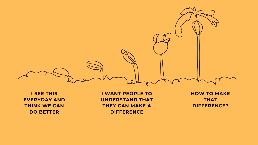

**I SEE THIS EVERYDAY AND THINK WE CAN DO BETTER**

**I WANT PEOPLE TO UNDERSTAND THAT THEY CAN MAKE A DIFFERENCE**

**HOW TO MAKE THAT DIFFERENCE?**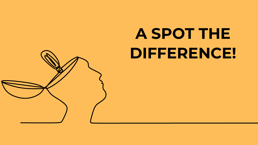

# **A SPOT THE DIFFERENCE!**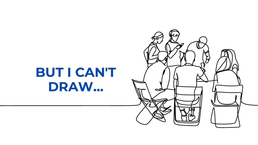### BUT I CAN'T DRAW...

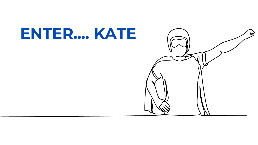### ENTER... KATE

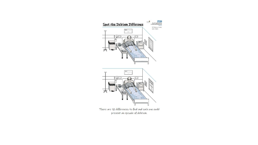

There are 10 differences to find and each one could prevent an episode of delirium.

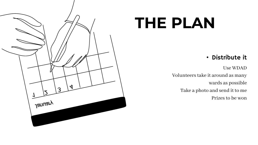Use WDAD

Volunteers take it around as many

wards as possible

Take a photo and send it to me

Prizes to be won

### • Distribute it



## **THE PLAN**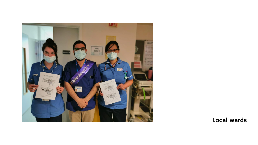

Local wards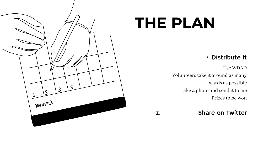Use WDAD

Volunteers take it around as many

wards as possible

Take a photo and send it to me

Prizes to be won

### • Distribute it



## **THE PLAN**

#### 2. Share on Twitter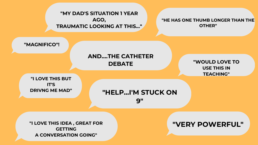**"MY DAD'S SITUATION 1 YEAR AGO, TRAUMATIC LOOKING AT THIS..."**

#### **"HE HAS ONE THUMB LONGER THAN THE OTHER"**

**"MAGNIFICO"!**

**"I LOVE THIS BUT IT'S DRIVNG ME MAD"**

**"I LOVE THIS IDEA , GREAT FOR GETTING A CONVERSATION GOING"**

#### **"VERY POWERFUL"**

#### **AND....THE CATHETER DEBATE**

#### **"WOULD LOVE TO USE THIS IN TEACHING"**



#### **"HELP...I'M STUCK ON 9"**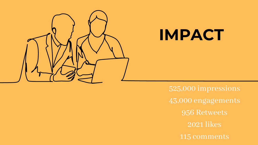

### **IMPACT**

525,000 impressions 43,000 engagements 956 Retweets 2021 likes 115 comments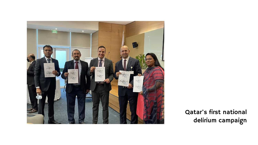

#### Qatar's first national delirium campaign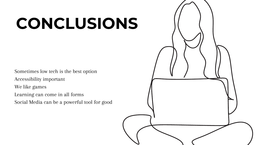Sometimes low tech is the best option Accessibility important We like games Learning can come in all forms Social Media can be a powerful tool for good



# **CONCLUSIONS**